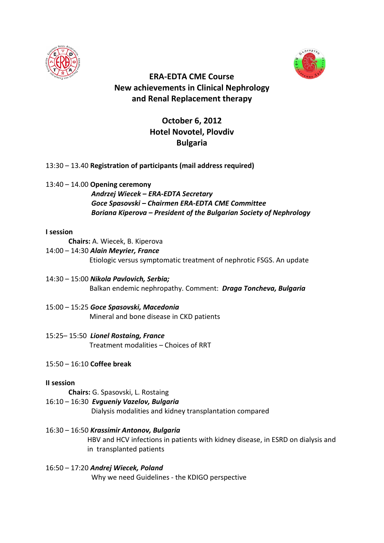



## **ERA-EDTA CME Course New achievements in Clinical Nephrology and Renal Replacement therapy**

# **October 6, 2012 Hotel Novotel, Plovdiv Bulgaria**

## 13:30 – 13.40 **Registration of participants (mail address required)**

## 13:40 – 14.00 **Opening ceremony**

*Andrzej Wiecek – ERA-EDTA Secretary Goce Spasovski – Chairmen ERA-EDTA CME Committee Boriana Kiperova – President of the Bulgarian Society of Nephrology*

#### **I session**

**Chairs:** A. Wiecek, B. Kiperova

#### 14:00 – 14:30 *Alain Meyrier, France* Etiologic versus symptomatic treatment of nephrotic FSGS. An update

14:30 – 15:00 *Nikola Pavlovich, Serbia;*  Balkan endemic nephropathy. Comment: *Draga Toncheva, Bulgaria*

15:00 – 15:25 *Goce Spasovski, Macedonia* Mineral and bone disease in CKD patients

15:25– 15:50 *Lionel Rostaing, France* Treatment modalities – Choices of RRT

15:50 – 16:10 **Coffee break**

#### **II session**

**Chairs:** G. Spasovski, L. Rostaing

#### 16:10 – 16:30 *Evgueniy Vazelov, Bulgaria*

Dialysis modalities and kidney transplantation compared

## 16:30 – 16:50 *Krassimir Antonov, Bulgaria*

HBV and HCV infections in patients with kidney disease, in ESRD on dialysis and in transplanted patients

## 16:50 – 17:20 *Andrej Wiecek, Poland*

Why we need Guidelines - the KDIGO perspective